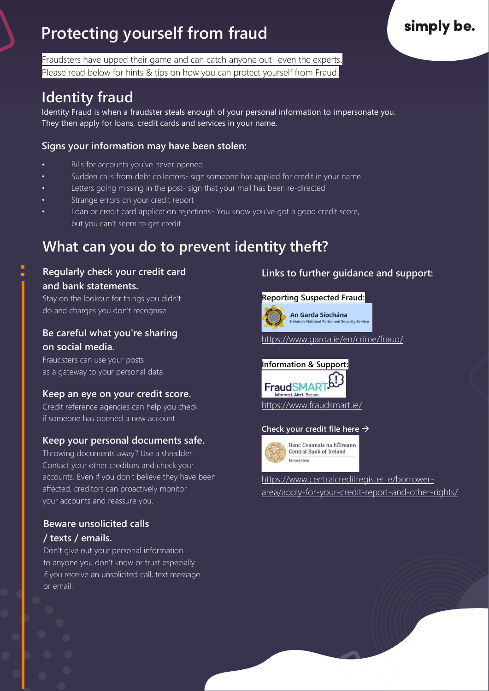# **Protecting yourself from fraud**

Fraudsters have upped their game and can catch anyone out- even the experts. Please read below for hints & tips on how you can protect yourself from Fraud:

# **Identity fraud**

Identity Fraud is when a fraudster steals enough of your personal information to impersonate you. They then apply for loans, credit cards and services in your name.

#### **Signs your information may have been stolen:**

- Bills for accounts you've never opened
- Sudden calls from debt collectors- sign someone has applied for credit in your name
- Letters going missing in the post- sign that your mail has been re-directed
- Strange errors on your credit report
- Loan or credit card application rejections- You know you've got a good credit score, but you can't seem to get credit

## **What can you do to prevent identity theft?**

#### **Regularly check your credit card and bank statements.**

Stay on the lookout for things you didn't do and charges you don't recognise.

#### **Be careful what you're sharing on social media.**

Fraudsters can use your posts as a gateway to your personal data

#### **Keep an eye on your credit score.**

Credit reference agencies can help you check if someone has opened a new account

#### **Keep your personal documents safe.**

Throwing documents away? Use a shredder. Contact your other creditors and check your accounts. Even if you don't believe they have been affected, creditors can proactively monitor your accounts and reassure you.

#### **Beware unsolicited calls / texts / emails.**

Don't give out your personal information to anyone you don't know or trust especially if you receive an unsolicited call, text message or email.

#### **Links to further guidance and support:**

#### **Reporting Suspected Fraud:**



<https://www.garda.ie/en/crime/fraud/>

# **Information & Support:**



# **Check your credit file here** →



Banc Ceannais na hÉireann **Central Bank of Ireland** Euroeveton

[https://www.centralcreditregister.ie/borrower](https://www.centralcreditregister.ie/borrower-area/apply-for-your-credit-report-and-other-rights/)[area/apply-for-your-credit-report-and-other-rights/](https://www.centralcreditregister.ie/borrower-area/apply-for-your-credit-report-and-other-rights/)